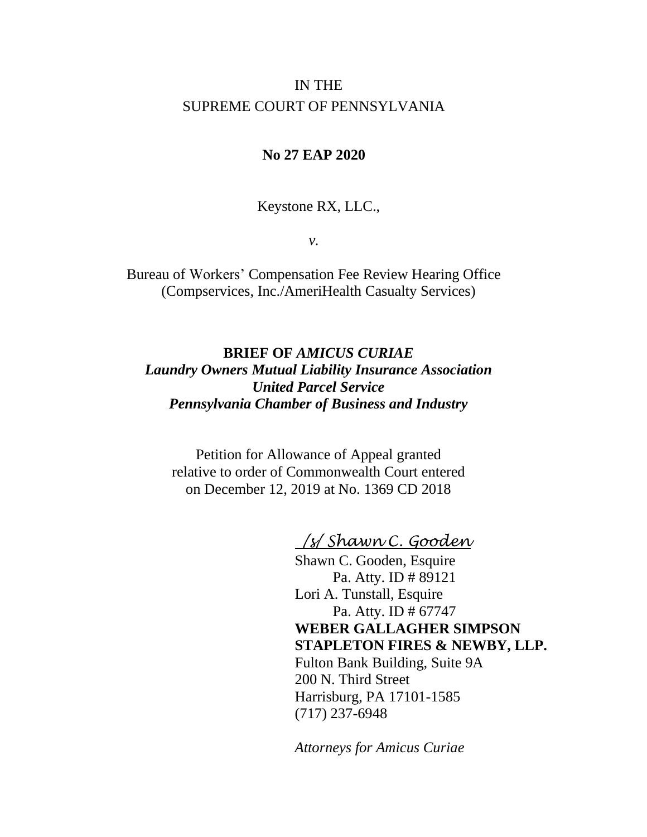# IN THE SUPREME COURT OF PENNSYLVANIA

# **No 27 EAP 2020**

Keystone RX, LLC.,

*v.*

Bureau of Workers' Compensation Fee Review Hearing Office (Compservices, Inc./AmeriHealth Casualty Services)

**BRIEF OF** *AMICUS CURIAE Laundry Owners Mutual Liability Insurance Association United Parcel Service Pennsylvania Chamber of Business and Industry*

Petition for Allowance of Appeal granted relative to order of Commonwealth Court entered on December 12, 2019 at No. 1369 CD 2018

*/s/ Shawn C. Gooden*

Shawn C. Gooden, Esquire Pa. Atty. ID # 89121 Lori A. Tunstall, Esquire Pa. Atty. ID # 67747 **WEBER GALLAGHER SIMPSON STAPLETON FIRES & NEWBY, LLP.** Fulton Bank Building, Suite 9A 200 N. Third Street Harrisburg, PA 17101-1585 (717) 237-6948

*Attorneys for Amicus Curiae*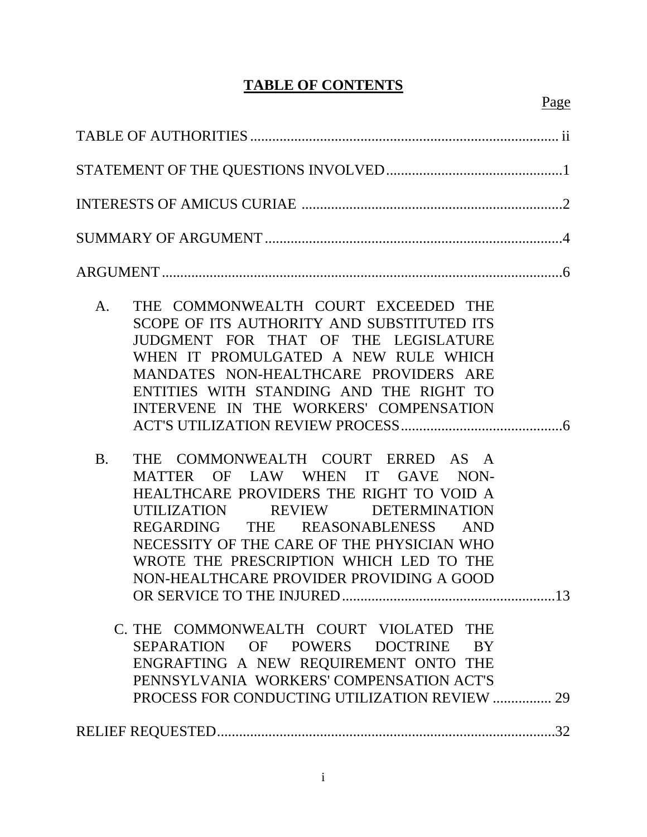# **TABLE OF CONTENTS**

| THE COMMONWEALTH COURT EXCEEDED THE<br>A.<br>SCOPE OF ITS AUTHORITY AND SUBSTITUTED ITS<br>JUDGMENT FOR THAT OF THE LEGISLATURE<br>WHEN IT PROMULGATED A NEW RULE WHICH<br>MANDATES NON-HEALTHCARE PROVIDERS ARE<br>ENTITIES WITH STANDING AND THE RIGHT TO<br>INTERVENE IN THE WORKERS' COMPENSATION                                      |     |
|--------------------------------------------------------------------------------------------------------------------------------------------------------------------------------------------------------------------------------------------------------------------------------------------------------------------------------------------|-----|
| THE COMMONWEALTH COURT ERRED AS A<br><b>B.</b><br>MATTER OF LAW WHEN IT GAVE NON-<br>HEALTHCARE PROVIDERS THE RIGHT TO VOID A<br>UTILIZATION REVIEW DETERMINATION<br>REGARDING THE REASONABLENESS AND<br>NECESSITY OF THE CARE OF THE PHYSICIAN WHO<br>WROTE THE PRESCRIPTION WHICH LED TO THE<br>NON-HEALTHCARE PROVIDER PROVIDING A GOOD |     |
| C. THE COMMONWEALTH COURT VIOLATED THE<br>SEPARATION OF POWERS DOCTRINE BY<br>ENGRAFTING A NEW REQUIREMENT ONTO THE<br>PENNSYLVANIA WORKERS' COMPENSATION ACT'S<br>PROCESS FOR CONDUCTING UTILIZATION REVIEW                                                                                                                               | 29  |
|                                                                                                                                                                                                                                                                                                                                            | .32 |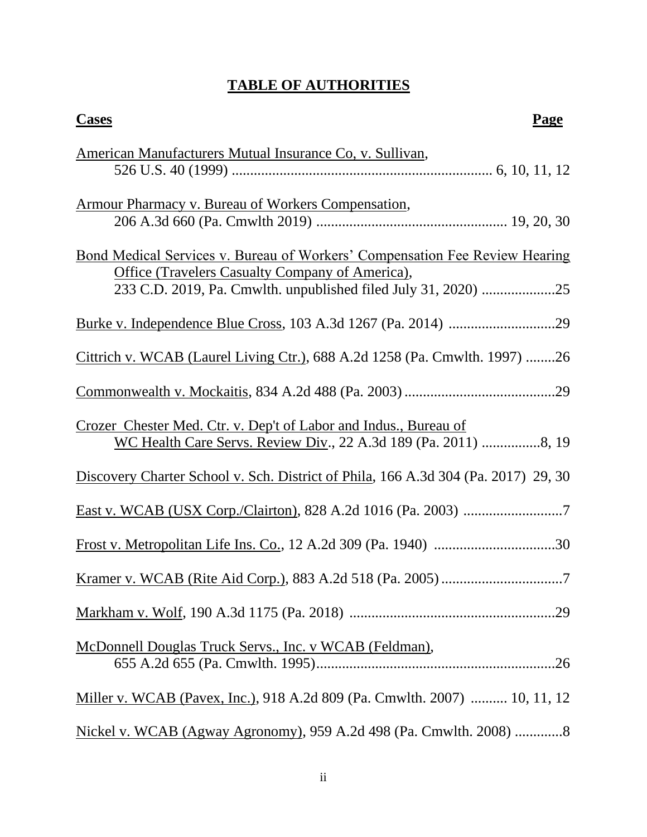# **TABLE OF AUTHORITIES**

| <b>Cases</b><br>Page                                                                                                                  |
|---------------------------------------------------------------------------------------------------------------------------------------|
| American Manufacturers Mutual Insurance Co, v. Sullivan,                                                                              |
| Armour Pharmacy v. Bureau of Workers Compensation,                                                                                    |
| Bond Medical Services v. Bureau of Workers' Compensation Fee Review Hearing<br><b>Office (Travelers Casualty Company of America),</b> |
|                                                                                                                                       |
| Cittrich v. WCAB (Laurel Living Ctr.), 688 A.2d 1258 (Pa. Cmwlth. 1997) 26                                                            |
|                                                                                                                                       |
| Crozer Chester Med. Ctr. v. Dep't of Labor and Indus., Bureau of<br>WC Health Care Servs. Review Div., 22 A.3d 189 (Pa. 2011) 8, 19   |
| Discovery Charter School v. Sch. District of Phila, 166 A.3d 304 (Pa. 2017) 29, 30                                                    |
|                                                                                                                                       |
|                                                                                                                                       |
|                                                                                                                                       |
|                                                                                                                                       |
| McDonnell Douglas Truck Servs., Inc. v WCAB (Feldman),                                                                                |
| Miller v. WCAB (Pavex, Inc.), 918 A.2d 809 (Pa. Cmwlth. 2007)  10, 11, 12                                                             |
| Nickel v. WCAB (Agway Agronomy), 959 A.2d 498 (Pa. Cmwlth. 2008) 8                                                                    |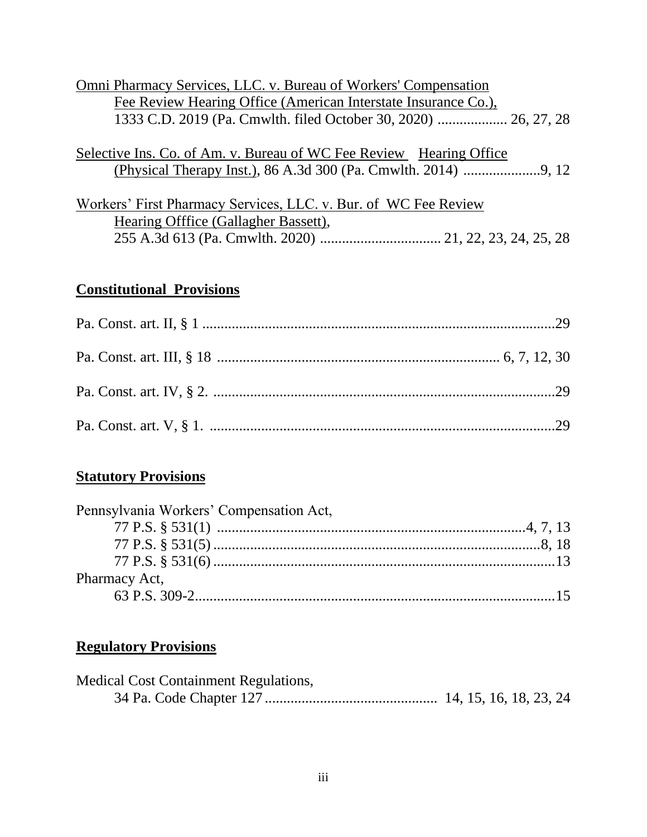| Omni Pharmacy Services, LLC. v. Bureau of Workers' Compensation |  |
|-----------------------------------------------------------------|--|
| Fee Review Hearing Office (American Interstate Insurance Co.),  |  |
|                                                                 |  |
|                                                                 |  |

Selective Ins. Co. of Am. v. Bureau of WC Fee Review Hearing Office (Physical Therapy Inst.), 86 A.3d 300 (Pa. Cmwlth. 2014) .....................9, 12

| Workers' First Pharmacy Services, LLC. v. Bur. of WC Fee Review |  |  |  |  |  |
|-----------------------------------------------------------------|--|--|--|--|--|
| Hearing Offfice (Gallagher Bassett),                            |  |  |  |  |  |
|                                                                 |  |  |  |  |  |

# **Constitutional Provisions**

# **Statutory Provisions**

| Pennsylvania Workers' Compensation Act, |  |
|-----------------------------------------|--|
|                                         |  |
|                                         |  |
|                                         |  |
| Pharmacy Act,                           |  |
|                                         |  |

# **Regulatory Provisions**

| <b>Medical Cost Containment Regulations,</b> |  |  |  |
|----------------------------------------------|--|--|--|
|                                              |  |  |  |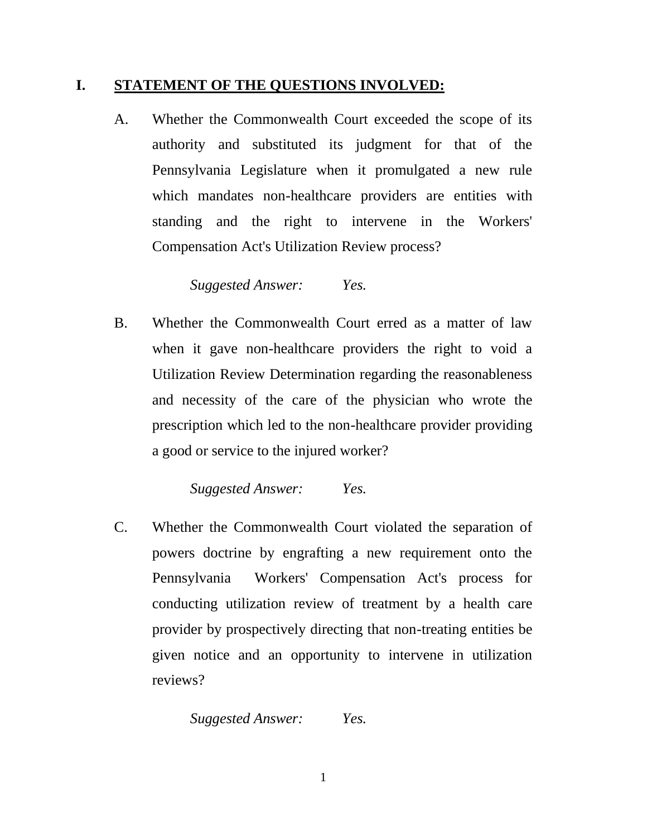## **I. STATEMENT OF THE QUESTIONS INVOLVED:**

A. Whether the Commonwealth Court exceeded the scope of its authority and substituted its judgment for that of the Pennsylvania Legislature when it promulgated a new rule which mandates non-healthcare providers are entities with standing and the right to intervene in the Workers' Compensation Act's Utilization Review process?

### *Suggested Answer: Yes.*

B. Whether the Commonwealth Court erred as a matter of law when it gave non-healthcare providers the right to void a Utilization Review Determination regarding the reasonableness and necessity of the care of the physician who wrote the prescription which led to the non-healthcare provider providing a good or service to the injured worker?

# *Suggested Answer: Yes.*

C. Whether the Commonwealth Court violated the separation of powers doctrine by engrafting a new requirement onto the Pennsylvania Workers' Compensation Act's process for conducting utilization review of treatment by a health care provider by prospectively directing that non-treating entities be given notice and an opportunity to intervene in utilization reviews?

### *Suggested Answer: Yes.*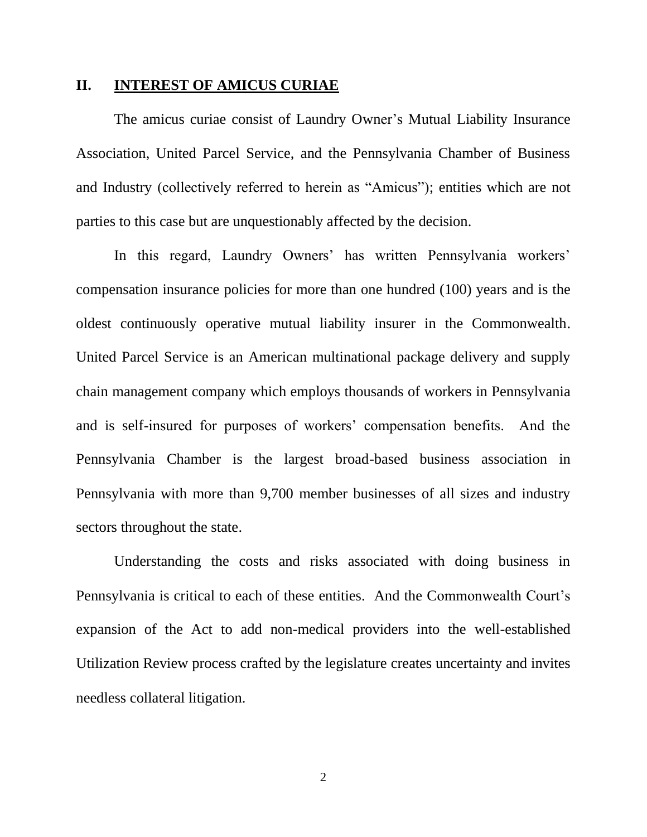#### **II. INTEREST OF AMICUS CURIAE**

The amicus curiae consist of Laundry Owner's Mutual Liability Insurance Association, United Parcel Service, and the Pennsylvania Chamber of Business and Industry (collectively referred to herein as "Amicus"); entities which are not parties to this case but are unquestionably affected by the decision.

In this regard, Laundry Owners' has written Pennsylvania workers' compensation insurance policies for more than one hundred (100) years and is the oldest continuously operative mutual liability insurer in the Commonwealth. United Parcel Service is an American multinational package delivery and supply chain management company which employs thousands of workers in Pennsylvania and is self-insured for purposes of workers' compensation benefits. And the Pennsylvania Chamber is the largest broad-based business association in Pennsylvania with more than 9,700 member businesses of all sizes and industry sectors throughout the state.

Understanding the costs and risks associated with doing business in Pennsylvania is critical to each of these entities. And the Commonwealth Court's expansion of the Act to add non-medical providers into the well-established Utilization Review process crafted by the legislature creates uncertainty and invites needless collateral litigation.

2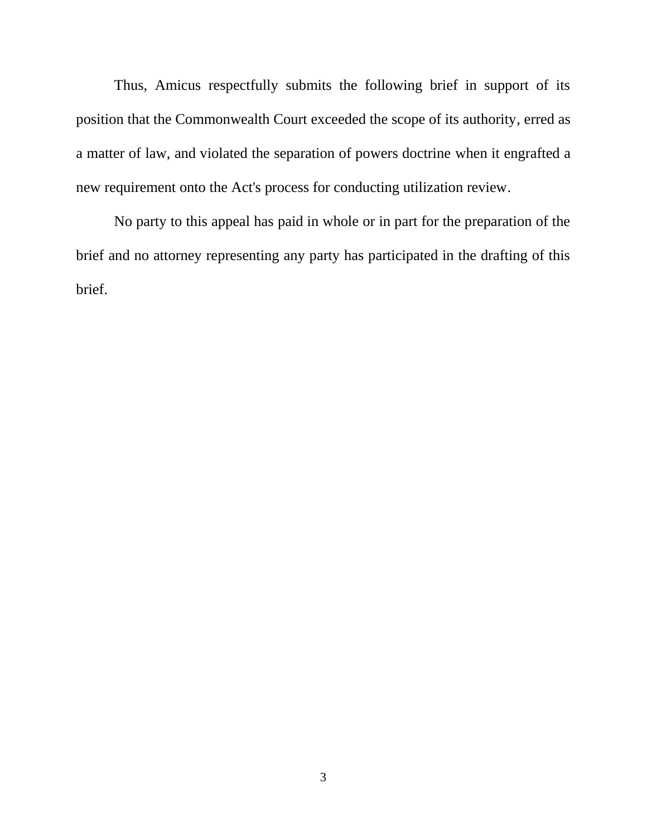Thus, Amicus respectfully submits the following brief in support of its position that the Commonwealth Court exceeded the scope of its authority, erred as a matter of law, and violated the separation of powers doctrine when it engrafted a new requirement onto the Act's process for conducting utilization review.

No party to this appeal has paid in whole or in part for the preparation of the brief and no attorney representing any party has participated in the drafting of this brief.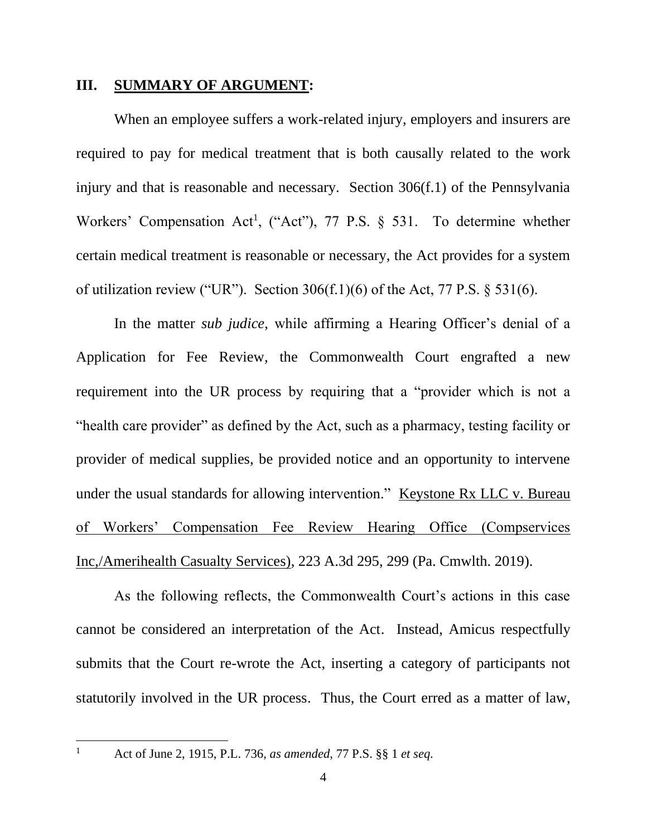### **III. SUMMARY OF ARGUMENT:**

When an employee suffers a work-related injury, employers and insurers are required to pay for medical treatment that is both causally related to the work injury and that is reasonable and necessary. Section 306(f.1) of the Pennsylvania Workers' Compensation Act<sup>1</sup>, ("Act"), 77 P.S. § 531. To determine whether certain medical treatment is reasonable or necessary, the Act provides for a system of utilization review ("UR"). Section  $306(f.1)(6)$  of the Act, 77 P.S. § 531(6).

In the matter *sub judice*, while affirming a Hearing Officer's denial of a Application for Fee Review, the Commonwealth Court engrafted a new requirement into the UR process by requiring that a "provider which is not a "health care provider" as defined by the Act, such as a pharmacy, testing facility or provider of medical supplies, be provided notice and an opportunity to intervene under the usual standards for allowing intervention." Keystone Rx LLC v. Bureau of Workers' Compensation Fee Review Hearing Office (Compservices Inc,/Amerihealth Casualty Services), 223 A.3d 295, 299 (Pa. Cmwlth. 2019).

As the following reflects, the Commonwealth Court's actions in this case cannot be considered an interpretation of the Act. Instead, Amicus respectfully submits that the Court re-wrote the Act, inserting a category of participants not statutorily involved in the UR process. Thus, the Court erred as a matter of law,

<sup>1</sup> Act of June 2, 1915, P.L. 736, *as amended*, 77 P.S. §§ 1 *et seq.*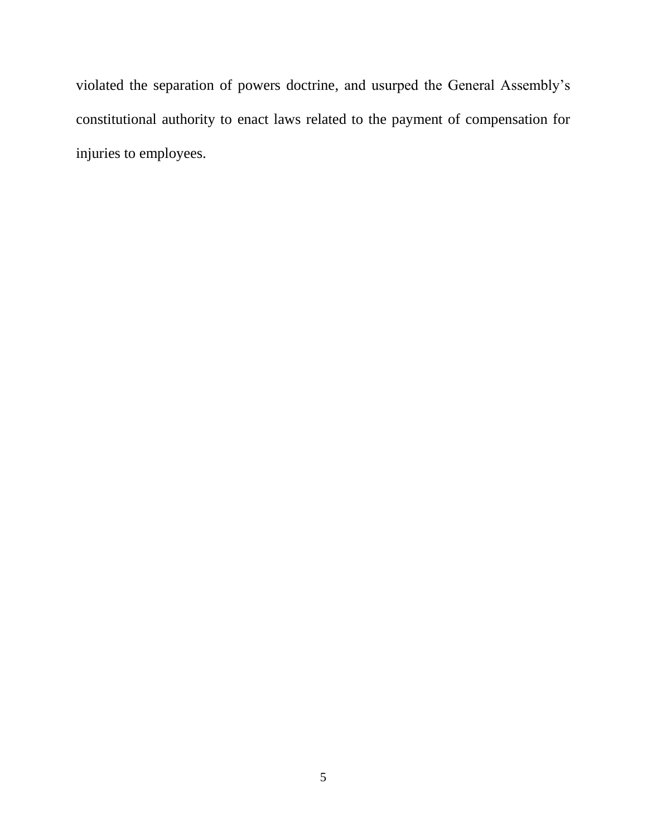violated the separation of powers doctrine, and usurped the General Assembly's constitutional authority to enact laws related to the payment of compensation for injuries to employees.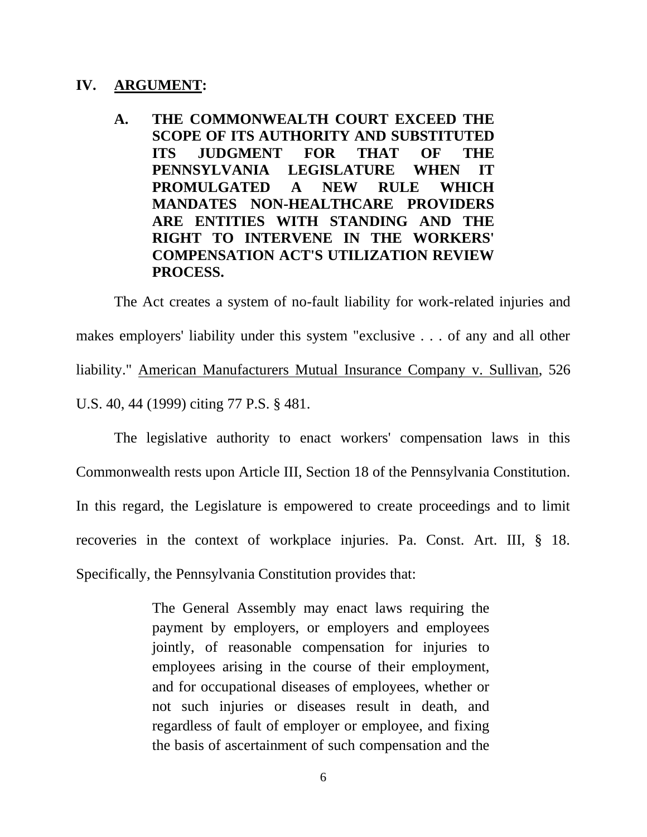## **IV. ARGUMENT:**

**A. THE COMMONWEALTH COURT EXCEED THE SCOPE OF ITS AUTHORITY AND SUBSTITUTED ITS JUDGMENT FOR THAT OF THE PENNSYLVANIA LEGISLATURE WHEN IT PROMULGATED A NEW RULE WHICH MANDATES NON-HEALTHCARE PROVIDERS ARE ENTITIES WITH STANDING AND THE RIGHT TO INTERVENE IN THE WORKERS' COMPENSATION ACT'S UTILIZATION REVIEW PROCESS.**

The Act creates a system of no-fault liability for work-related injuries and makes employers' liability under this system "exclusive . . . of any and all other liability." American Manufacturers Mutual Insurance Company v. Sullivan, 526 U.S. 40, 44 (1999) citing 77 P.S. § 481.

The legislative authority to enact workers' compensation laws in this Commonwealth rests upon Article III, Section 18 of the Pennsylvania Constitution. In this regard, the Legislature is empowered to create proceedings and to limit recoveries in the context of workplace injuries. Pa. Const. Art. III, § 18. Specifically, the Pennsylvania Constitution provides that:

> The General Assembly may enact laws requiring the payment by employers, or employers and employees jointly, of reasonable compensation for injuries to employees arising in the course of their employment, and for occupational diseases of employees, whether or not such injuries or diseases result in death, and regardless of fault of employer or employee, and fixing the basis of ascertainment of such compensation and the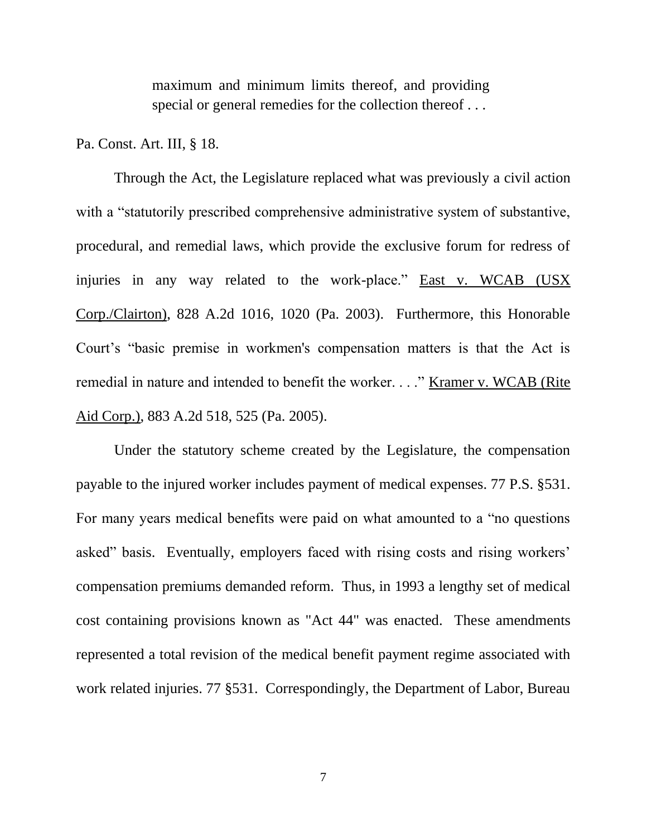maximum and minimum limits thereof, and providing special or general remedies for the collection thereof . . .

Pa. Const. Art. III, § 18.

Through the Act, the Legislature replaced what was previously a civil action with a "statutorily prescribed comprehensive administrative system of substantive, procedural, and remedial laws, which provide the exclusive forum for redress of injuries in any way related to the work-place." East v. WCAB (USX Corp./Clairton), 828 A.2d 1016, 1020 (Pa. 2003). Furthermore, this Honorable Court's "basic premise in workmen's compensation matters is that the Act is remedial in nature and intended to benefit the worker. . . ." Kramer v. WCAB (Rite Aid Corp.), 883 A.2d 518, 525 (Pa. 2005).

Under the statutory scheme created by the Legislature, the compensation payable to the injured worker includes payment of medical expenses. 77 P.S. §531. For many years medical benefits were paid on what amounted to a "no questions asked" basis. Eventually, employers faced with rising costs and rising workers' compensation premiums demanded reform. Thus, in 1993 a lengthy set of medical cost containing provisions known as "Act 44" was enacted. These amendments represented a total revision of the medical benefit payment regime associated with work related injuries. 77 §531. Correspondingly, the Department of Labor, Bureau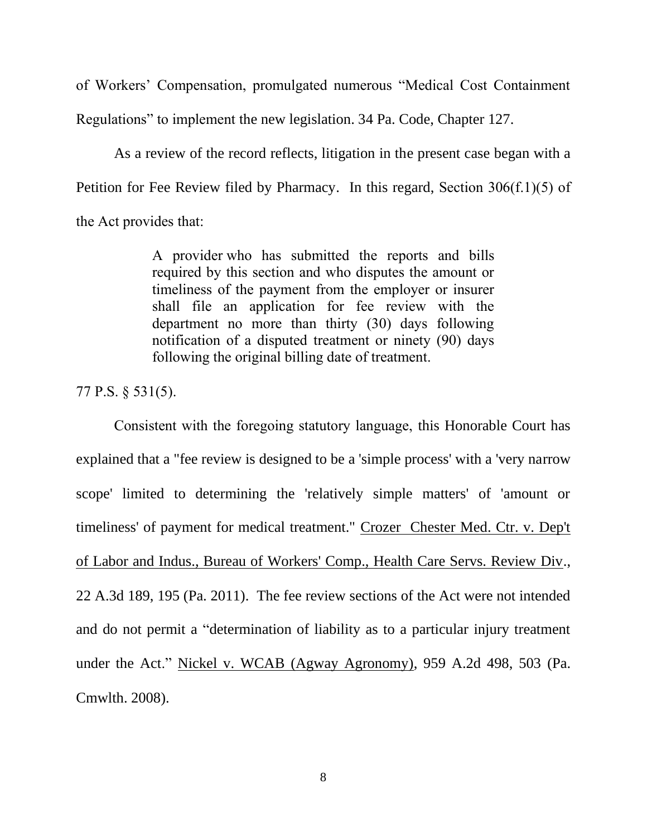of Workers' Compensation, promulgated numerous "Medical Cost Containment Regulations" to implement the new legislation. 34 Pa. Code, Chapter 127.

As a review of the record reflects, litigation in the present case began with a Petition for Fee Review filed by Pharmacy. In this regard, Section 306(f.1)(5) of the Act provides that:

> A provider who has submitted the reports and bills required by this section and who disputes the amount or timeliness of the payment from the employer or insurer shall file an application for fee review with the department no more than thirty (30) days following notification of a disputed treatment or ninety (90) days following the original billing date of treatment.

77 P.S. § 531(5).

Consistent with the foregoing statutory language, this Honorable Court has explained that a "fee review is designed to be a 'simple process' with a 'very narrow scope' limited to determining the 'relatively simple matters' of 'amount or timeliness' of payment for medical treatment." Crozer Chester Med. Ctr. v. Dep't of Labor and Indus., Bureau of Workers' Comp., Health Care Servs. Review Div., 22 A.3d 189, 195 (Pa. 2011). The fee review sections of the Act were not intended and do not permit a "determination of liability as to a particular injury treatment under the Act." Nickel v. WCAB (Agway Agronomy), 959 A.2d 498, 503 (Pa. Cmwlth. 2008).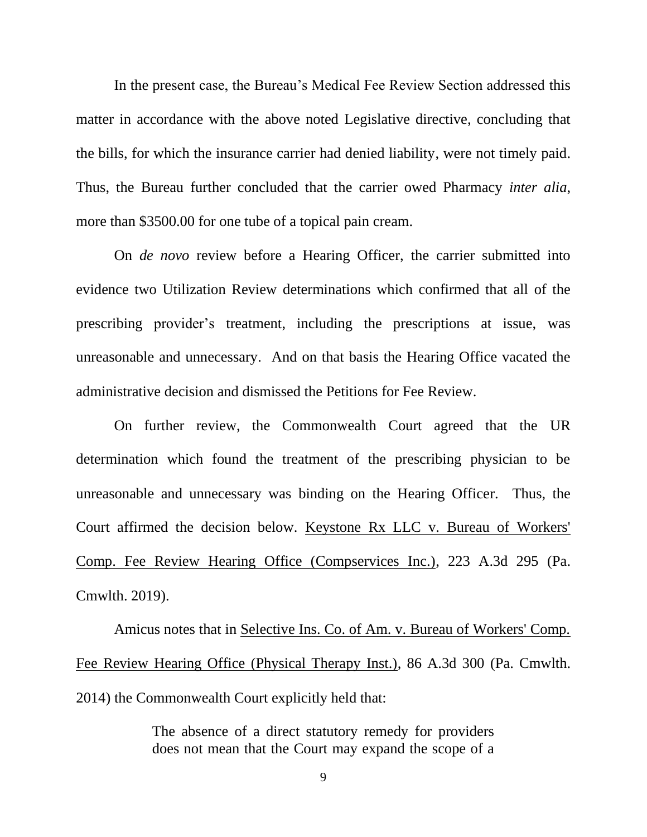In the present case, the Bureau's Medical Fee Review Section addressed this matter in accordance with the above noted Legislative directive, concluding that the bills, for which the insurance carrier had denied liability, were not timely paid. Thus, the Bureau further concluded that the carrier owed Pharmacy *inter alia*, more than \$3500.00 for one tube of a topical pain cream.

On *de novo* review before a Hearing Officer, the carrier submitted into evidence two Utilization Review determinations which confirmed that all of the prescribing provider's treatment, including the prescriptions at issue, was unreasonable and unnecessary. And on that basis the Hearing Office vacated the administrative decision and dismissed the Petitions for Fee Review.

On further review, the Commonwealth Court agreed that the UR determination which found the treatment of the prescribing physician to be unreasonable and unnecessary was binding on the Hearing Officer. Thus, the Court affirmed the decision below. Keystone Rx LLC v. Bureau of Workers' Comp. Fee Review Hearing Office (Compservices Inc.), 223 A.3d 295 (Pa. Cmwlth. 2019).

Amicus notes that in Selective Ins. Co. of Am. v. Bureau of Workers' Comp. Fee Review Hearing Office (Physical Therapy Inst.), 86 A.3d 300 (Pa. Cmwlth. 2014) the Commonwealth Court explicitly held that:

> The absence of a direct statutory remedy for providers does not mean that the Court may expand the scope of a

> > 9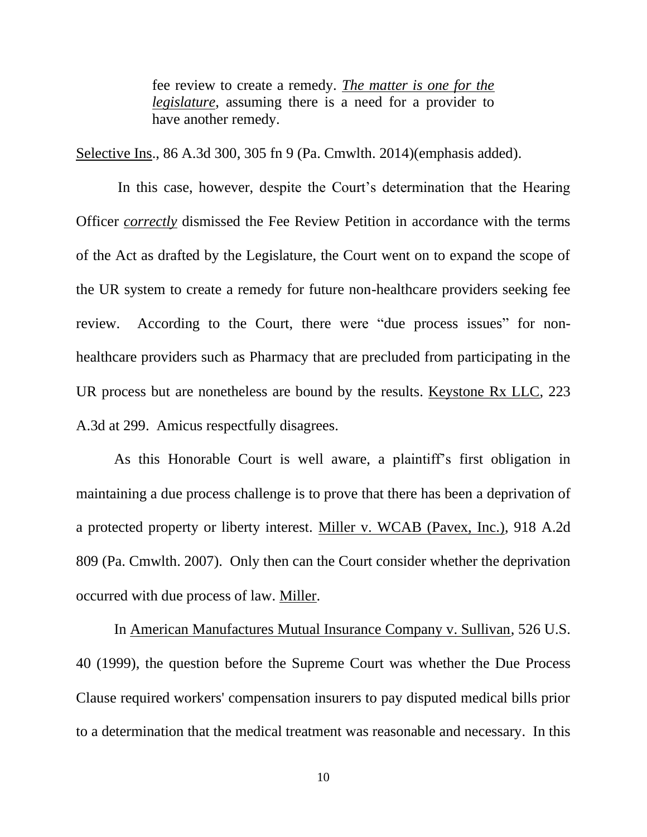fee review to create a remedy. *The matter is one for the legislature*, assuming there is a need for a provider to have another remedy.

Selective Ins., 86 A.3d 300, 305 fn 9 (Pa. Cmwlth. 2014)(emphasis added).

In this case, however, despite the Court's determination that the Hearing Officer *correctly* dismissed the Fee Review Petition in accordance with the terms of the Act as drafted by the Legislature, the Court went on to expand the scope of the UR system to create a remedy for future non-healthcare providers seeking fee review. According to the Court, there were "due process issues" for nonhealthcare providers such as Pharmacy that are precluded from participating in the UR process but are nonetheless are bound by the results. Keystone Rx LLC, 223 A.3d at 299. Amicus respectfully disagrees.

As this Honorable Court is well aware, a plaintiff's first obligation in maintaining a due process challenge is to prove that there has been a deprivation of a protected property or liberty interest. Miller v. WCAB (Pavex, Inc.), 918 A.2d 809 (Pa. Cmwlth. 2007). Only then can the Court consider whether the deprivation occurred with due process of law. Miller.

In American Manufactures Mutual Insurance Company v. Sullivan, 526 U.S. 40 (1999), the question before the Supreme Court was whether the Due Process Clause required workers' compensation insurers to pay disputed medical bills prior to a determination that the medical treatment was reasonable and necessary. In this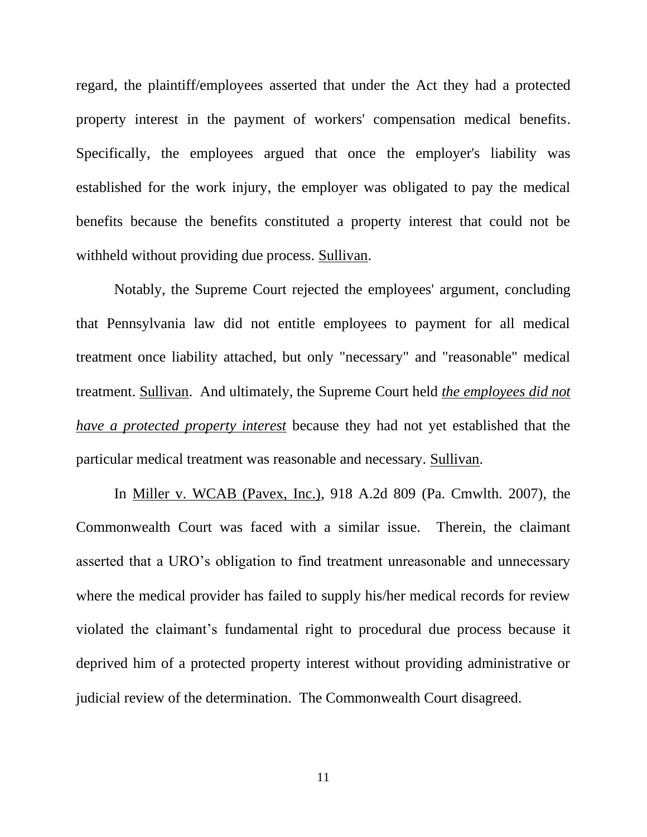regard, the plaintiff/employees asserted that under the Act they had a protected property interest in the payment of workers' compensation medical benefits. Specifically, the employees argued that once the employer's liability was established for the work injury, the employer was obligated to pay the medical benefits because the benefits constituted a property interest that could not be withheld without providing due process. Sullivan.

Notably, the Supreme Court rejected the employees' argument, concluding that Pennsylvania law did not entitle employees to payment for all medical treatment once liability attached, but only "necessary" and "reasonable" medical treatment. Sullivan. And ultimately, the Supreme Court held *the employees did not have a protected property interest* because they had not yet established that the particular medical treatment was reasonable and necessary. Sullivan.

In Miller v. WCAB (Pavex, Inc.), 918 A.2d 809 (Pa. Cmwlth. 2007), the Commonwealth Court was faced with a similar issue. Therein, the claimant asserted that a URO's obligation to find treatment unreasonable and unnecessary where the medical provider has failed to supply his/her medical records for review violated the claimant's fundamental right to procedural due process because it deprived him of a protected property interest without providing administrative or judicial review of the determination. The Commonwealth Court disagreed.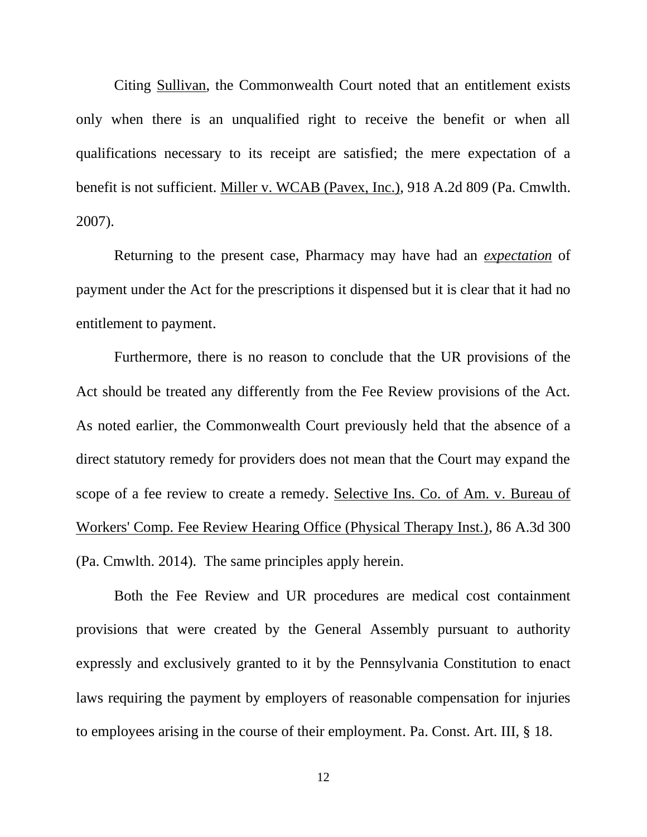Citing Sullivan, the Commonwealth Court noted that an entitlement exists only when there is an unqualified right to receive the benefit or when all qualifications necessary to its receipt are satisfied; the mere expectation of a benefit is not sufficient. Miller v. WCAB (Pavex, Inc.), 918 A.2d 809 (Pa. Cmwlth. 2007).

Returning to the present case, Pharmacy may have had an *expectation* of payment under the Act for the prescriptions it dispensed but it is clear that it had no entitlement to payment.

Furthermore, there is no reason to conclude that the UR provisions of the Act should be treated any differently from the Fee Review provisions of the Act. As noted earlier, the Commonwealth Court previously held that the absence of a direct statutory remedy for providers does not mean that the Court may expand the scope of a fee review to create a remedy. Selective Ins. Co. of Am. v. Bureau of Workers' Comp. Fee Review Hearing Office (Physical Therapy Inst.), 86 A.3d 300 (Pa. Cmwlth. 2014). The same principles apply herein.

Both the Fee Review and UR procedures are medical cost containment provisions that were created by the General Assembly pursuant to authority expressly and exclusively granted to it by the Pennsylvania Constitution to enact laws requiring the payment by employers of reasonable compensation for injuries to employees arising in the course of their employment. Pa. Const. Art. III, § 18.

12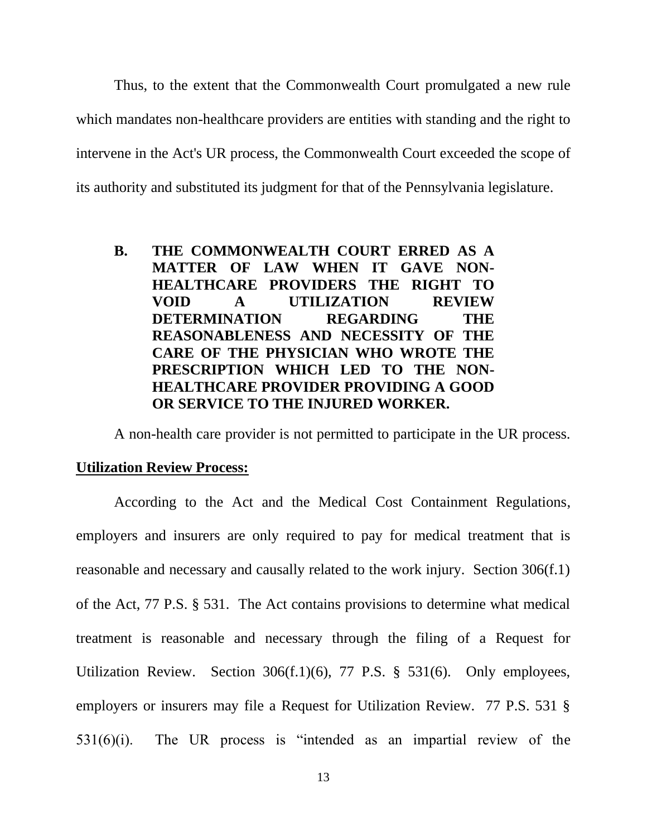Thus, to the extent that the Commonwealth Court promulgated a new rule which mandates non-healthcare providers are entities with standing and the right to intervene in the Act's UR process, the Commonwealth Court exceeded the scope of its authority and substituted its judgment for that of the Pennsylvania legislature.

**B. THE COMMONWEALTH COURT ERRED AS A MATTER OF LAW WHEN IT GAVE NON-HEALTHCARE PROVIDERS THE RIGHT TO VOID A UTILIZATION REVIEW DETERMINATION REGARDING THE REASONABLENESS AND NECESSITY OF THE CARE OF THE PHYSICIAN WHO WROTE THE PRESCRIPTION WHICH LED TO THE NON-HEALTHCARE PROVIDER PROVIDING A GOOD OR SERVICE TO THE INJURED WORKER.**

A non-health care provider is not permitted to participate in the UR process.

## **Utilization Review Process:**

According to the Act and the Medical Cost Containment Regulations, employers and insurers are only required to pay for medical treatment that is reasonable and necessary and causally related to the work injury. Section 306(f.1) of the Act, 77 P.S. § 531. The Act contains provisions to determine what medical treatment is reasonable and necessary through the filing of a Request for Utilization Review. Section 306(f.1)(6), 77 P.S. § 531(6). Only employees, employers or insurers may file a Request for Utilization Review. 77 P.S. 531 § 531(6)(i). The UR process is "intended as an impartial review of the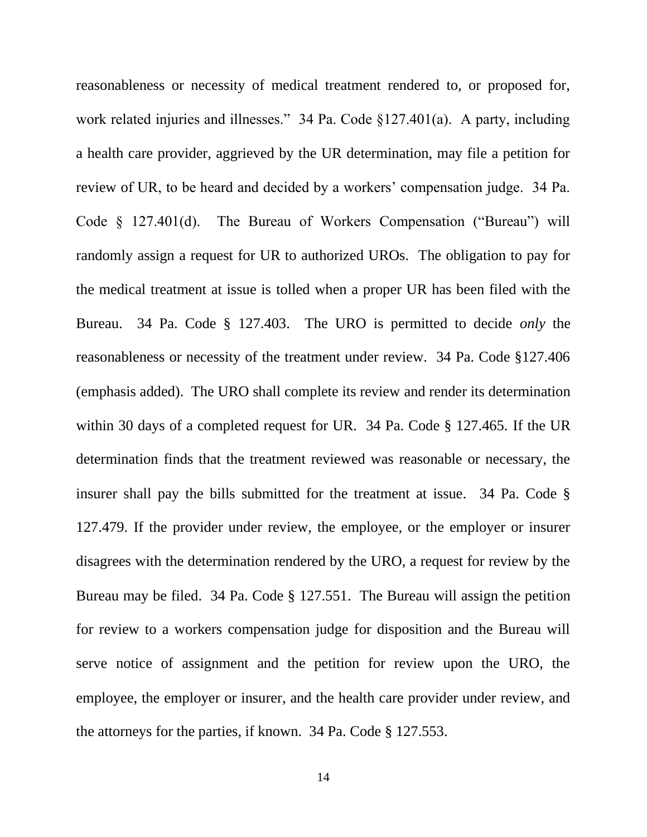reasonableness or necessity of medical treatment rendered to, or proposed for, work related injuries and illnesses." 34 Pa. Code §127.401(a). A party, including a health care provider, aggrieved by the UR determination, may file a petition for review of UR, to be heard and decided by a workers' compensation judge. 34 Pa. Code § 127.401(d). The Bureau of Workers Compensation ("Bureau") will randomly assign a request for UR to authorized UROs. The obligation to pay for the medical treatment at issue is tolled when a proper UR has been filed with the Bureau. 34 Pa. Code § 127.403. The URO is permitted to decide *only* the reasonableness or necessity of the treatment under review. 34 Pa. Code §127.406 (emphasis added). The URO shall complete its review and render its determination within 30 days of a completed request for UR. 34 Pa. Code § 127.465. If the UR determination finds that the treatment reviewed was reasonable or necessary, the insurer shall pay the bills submitted for the treatment at issue. 34 Pa. Code § 127.479. If the provider under review, the employee, or the employer or insurer disagrees with the determination rendered by the URO, a request for review by the Bureau may be filed. 34 Pa. Code § 127.551. The Bureau will assign the petition for review to a workers compensation judge for disposition and the Bureau will serve notice of assignment and the petition for review upon the URO, the employee, the employer or insurer, and the health care provider under review, and the attorneys for the parties, if known. 34 Pa. Code § 127.553.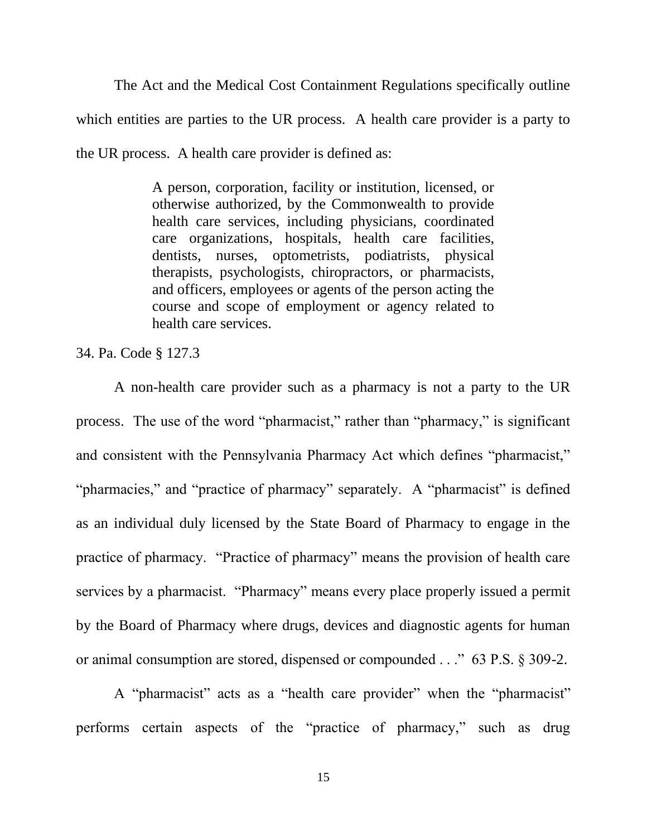The Act and the Medical Cost Containment Regulations specifically outline which entities are parties to the UR process. A health care provider is a party to the UR process. A health care provider is defined as:

> A person, corporation, facility or institution, licensed, or otherwise authorized, by the Commonwealth to provide health care services, including physicians, coordinated care organizations, hospitals, health care facilities, dentists, nurses, optometrists, podiatrists, physical therapists, psychologists, chiropractors, or pharmacists, and officers, employees or agents of the person acting the course and scope of employment or agency related to health care services.

34. Pa. Code § 127.3

A non-health care provider such as a pharmacy is not a party to the UR process. The use of the word "pharmacist," rather than "pharmacy," is significant and consistent with the Pennsylvania Pharmacy Act which defines "pharmacist," "pharmacies," and "practice of pharmacy" separately. A "pharmacist" is defined as an individual duly licensed by the State Board of Pharmacy to engage in the practice of pharmacy. "Practice of pharmacy" means the provision of health care services by a pharmacist. "Pharmacy" means every place properly issued a permit by the Board of Pharmacy where drugs, devices and diagnostic agents for human or animal consumption are stored, dispensed or compounded . . ." 63 P.S. § 309-2.

A "pharmacist" acts as a "health care provider" when the "pharmacist" performs certain aspects of the "practice of pharmacy," such as drug

15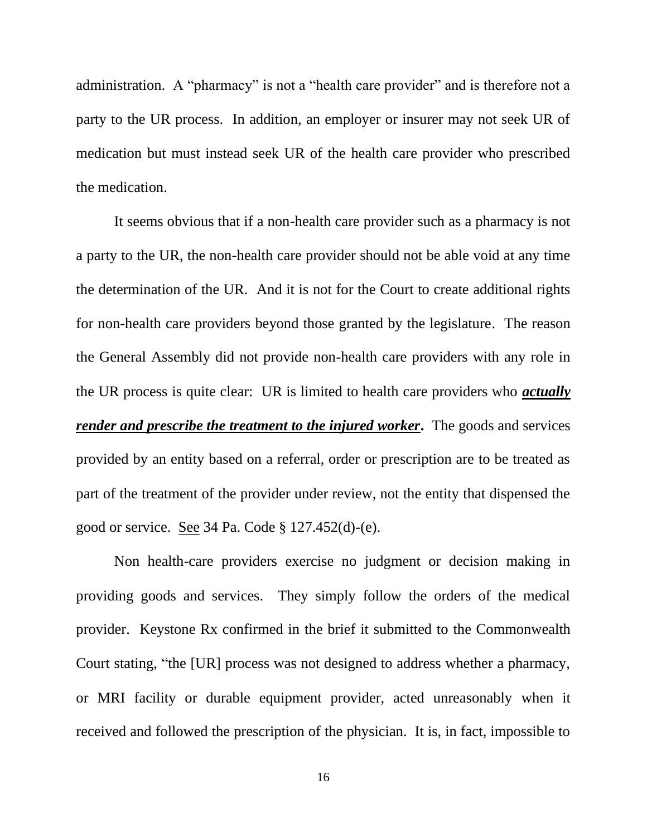administration. A "pharmacy" is not a "health care provider" and is therefore not a party to the UR process. In addition, an employer or insurer may not seek UR of medication but must instead seek UR of the health care provider who prescribed the medication.

It seems obvious that if a non-health care provider such as a pharmacy is not a party to the UR, the non-health care provider should not be able void at any time the determination of the UR. And it is not for the Court to create additional rights for non-health care providers beyond those granted by the legislature. The reason the General Assembly did not provide non-health care providers with any role in the UR process is quite clear: UR is limited to health care providers who *actually render and prescribe the treatment to the injured worker***.** The goods and services provided by an entity based on a referral, order or prescription are to be treated as part of the treatment of the provider under review, not the entity that dispensed the good or service. See 34 Pa. Code § 127.452(d)-(e).

Non health-care providers exercise no judgment or decision making in providing goods and services. They simply follow the orders of the medical provider. Keystone Rx confirmed in the brief it submitted to the Commonwealth Court stating, "the [UR] process was not designed to address whether a pharmacy, or MRI facility or durable equipment provider, acted unreasonably when it received and followed the prescription of the physician. It is, in fact, impossible to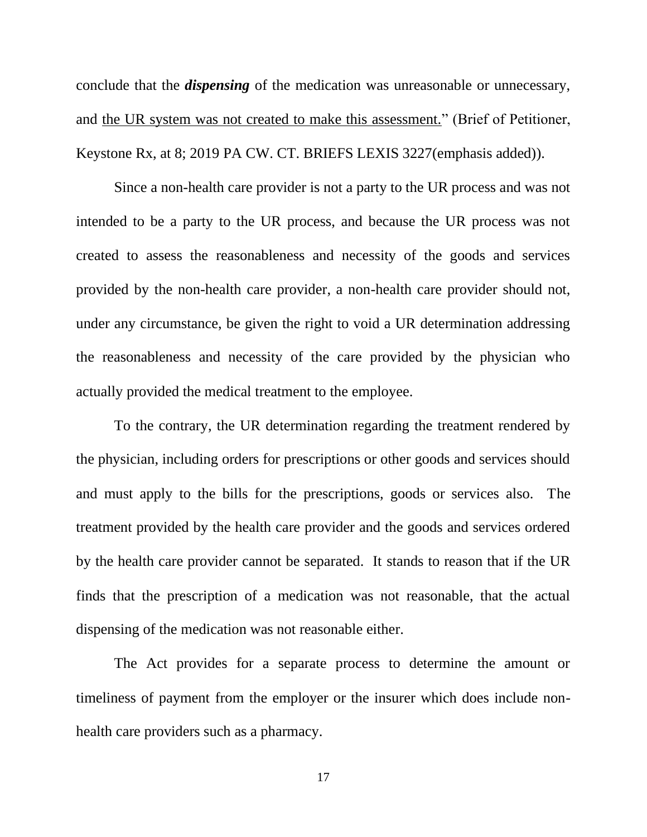conclude that the *dispensing* of the medication was unreasonable or unnecessary, and the UR system was not created to make this assessment." (Brief of Petitioner, Keystone Rx, at 8; 2019 PA CW. CT. BRIEFS LEXIS 3227(emphasis added)).

Since a non-health care provider is not a party to the UR process and was not intended to be a party to the UR process, and because the UR process was not created to assess the reasonableness and necessity of the goods and services provided by the non-health care provider, a non-health care provider should not, under any circumstance, be given the right to void a UR determination addressing the reasonableness and necessity of the care provided by the physician who actually provided the medical treatment to the employee.

To the contrary, the UR determination regarding the treatment rendered by the physician, including orders for prescriptions or other goods and services should and must apply to the bills for the prescriptions, goods or services also. The treatment provided by the health care provider and the goods and services ordered by the health care provider cannot be separated. It stands to reason that if the UR finds that the prescription of a medication was not reasonable, that the actual dispensing of the medication was not reasonable either.

The Act provides for a separate process to determine the amount or timeliness of payment from the employer or the insurer which does include nonhealth care providers such as a pharmacy.

17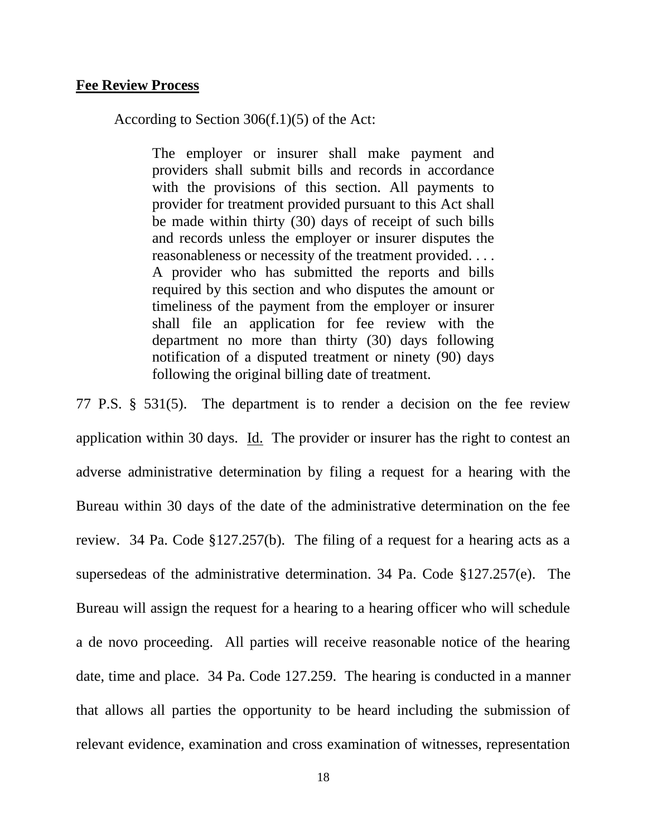#### **Fee Review Process**

According to Section 306(f.1)(5) of the Act:

The employer or insurer shall make payment and providers shall submit bills and records in accordance with the provisions of this section. All payments to provider for treatment provided pursuant to this Act shall be made within thirty (30) days of receipt of such bills and records unless the employer or insurer disputes the reasonableness or necessity of the treatment provided. . . . A provider who has submitted the reports and bills required by this section and who disputes the amount or timeliness of the payment from the employer or insurer shall file an application for fee review with the department no more than thirty (30) days following notification of a disputed treatment or ninety (90) days following the original billing date of treatment.

77 P.S. § 531(5). The department is to render a decision on the fee review application within 30 days. Id. The provider or insurer has the right to contest an adverse administrative determination by filing a request for a hearing with the Bureau within 30 days of the date of the administrative determination on the fee review. 34 Pa. Code §127.257(b). The filing of a request for a hearing acts as a supersedeas of the administrative determination. 34 Pa. Code §127.257(e). The Bureau will assign the request for a hearing to a hearing officer who will schedule a de novo proceeding. All parties will receive reasonable notice of the hearing date, time and place. 34 Pa. Code 127.259. The hearing is conducted in a manner that allows all parties the opportunity to be heard including the submission of relevant evidence, examination and cross examination of witnesses, representation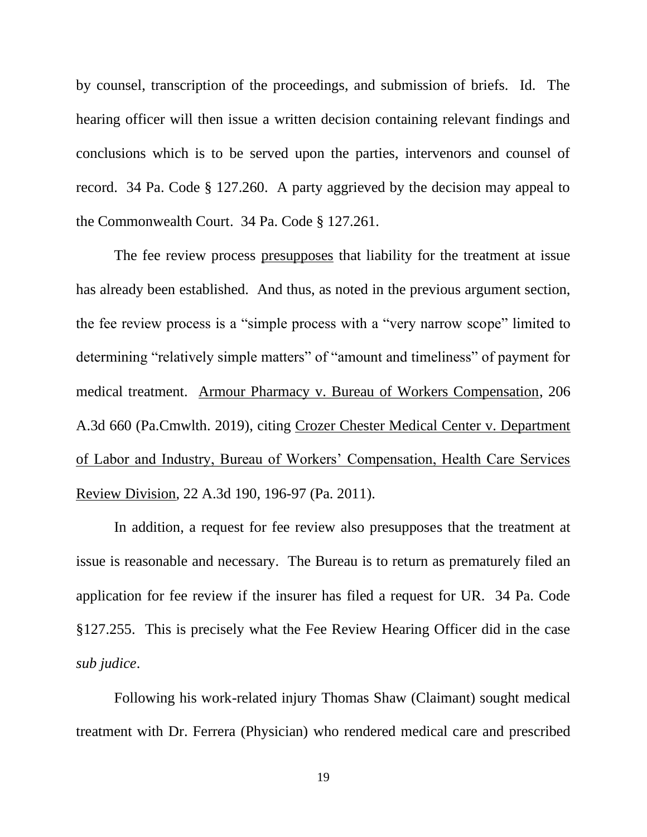by counsel, transcription of the proceedings, and submission of briefs. Id. The hearing officer will then issue a written decision containing relevant findings and conclusions which is to be served upon the parties, intervenors and counsel of record. 34 Pa. Code § 127.260. A party aggrieved by the decision may appeal to the Commonwealth Court. 34 Pa. Code § 127.261.

The fee review process presupposes that liability for the treatment at issue has already been established. And thus, as noted in the previous argument section, the fee review process is a "simple process with a "very narrow scope" limited to determining "relatively simple matters" of "amount and timeliness" of payment for medical treatment. Armour Pharmacy v. Bureau of Workers Compensation, 206 A.3d 660 (Pa.Cmwlth. 2019), citing Crozer Chester Medical Center v. Department of Labor and Industry, Bureau of Workers' Compensation, Health Care Services Review Division, 22 A.3d 190, 196-97 (Pa. 2011).

In addition, a request for fee review also presupposes that the treatment at issue is reasonable and necessary. The Bureau is to return as prematurely filed an application for fee review if the insurer has filed a request for UR. 34 Pa. Code §127.255. This is precisely what the Fee Review Hearing Officer did in the case *sub judice*.

Following his work-related injury Thomas Shaw (Claimant) sought medical treatment with Dr. Ferrera (Physician) who rendered medical care and prescribed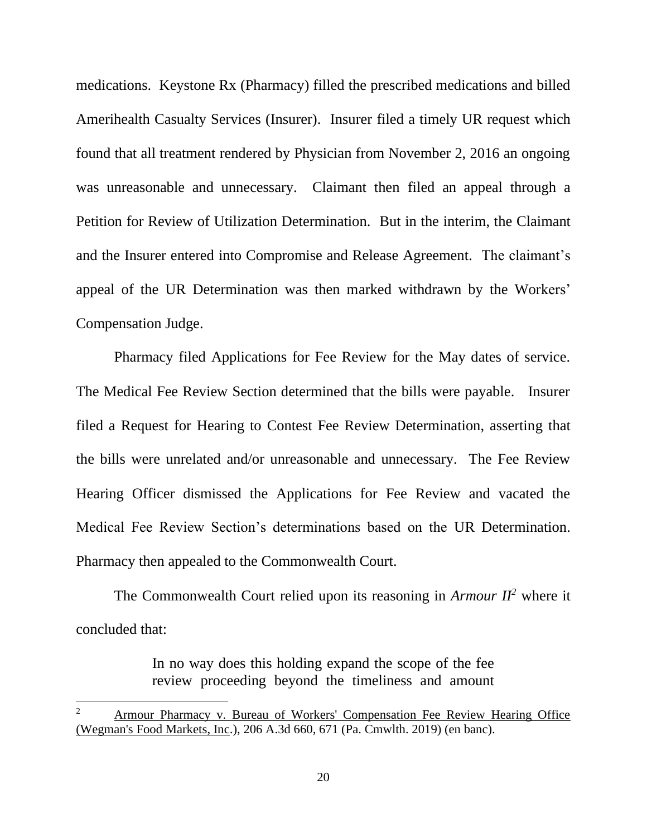medications. Keystone Rx (Pharmacy) filled the prescribed medications and billed Amerihealth Casualty Services (Insurer). Insurer filed a timely UR request which found that all treatment rendered by Physician from November 2, 2016 an ongoing was unreasonable and unnecessary. Claimant then filed an appeal through a Petition for Review of Utilization Determination. But in the interim, the Claimant and the Insurer entered into Compromise and Release Agreement. The claimant's appeal of the UR Determination was then marked withdrawn by the Workers' Compensation Judge.

Pharmacy filed Applications for Fee Review for the May dates of service. The Medical Fee Review Section determined that the bills were payable. Insurer filed a Request for Hearing to Contest Fee Review Determination, asserting that the bills were unrelated and/or unreasonable and unnecessary. The Fee Review Hearing Officer dismissed the Applications for Fee Review and vacated the Medical Fee Review Section's determinations based on the UR Determination. Pharmacy then appealed to the Commonwealth Court.

The Commonwealth Court relied upon its reasoning in *Armour*  $II^2$  where it concluded that:

> In no way does this holding expand the scope of the fee review proceeding beyond the timeliness and amount

Armour Pharmacy v. Bureau of Workers' Compensation Fee Review Hearing Office (Wegman's Food Markets, Inc.), 206 A.3d 660, 671 (Pa. Cmwlth. 2019) (en banc).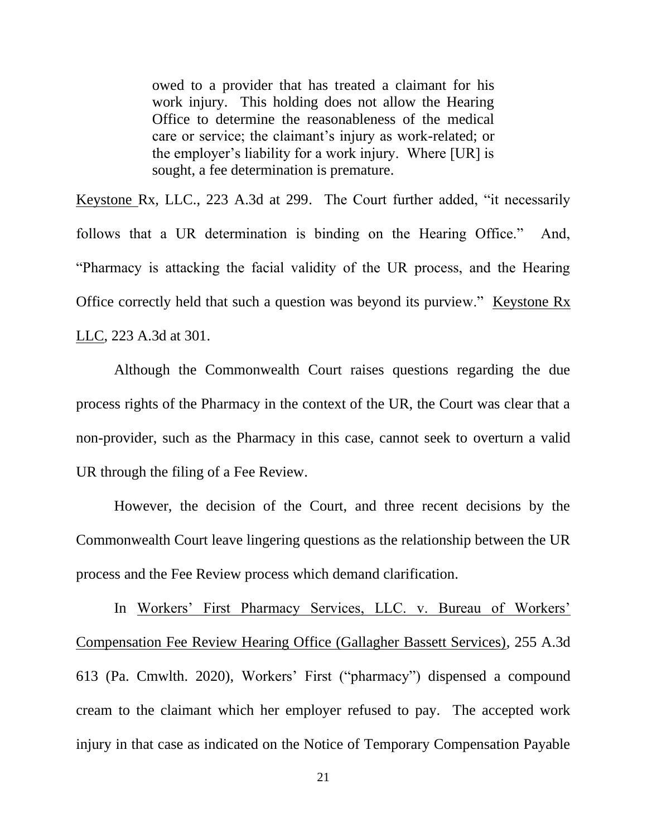owed to a provider that has treated a claimant for his work injury. This holding does not allow the Hearing Office to determine the reasonableness of the medical care or service; the claimant's injury as work-related; or the employer's liability for a work injury. Where [UR] is sought, a fee determination is premature.

Keystone Rx, LLC., 223 A.3d at 299. The Court further added, "it necessarily follows that a UR determination is binding on the Hearing Office." And, "Pharmacy is attacking the facial validity of the UR process, and the Hearing Office correctly held that such a question was beyond its purview." Keystone Rx LLC, 223 A.3d at 301.

Although the Commonwealth Court raises questions regarding the due process rights of the Pharmacy in the context of the UR, the Court was clear that a non-provider, such as the Pharmacy in this case, cannot seek to overturn a valid UR through the filing of a Fee Review.

However, the decision of the Court, and three recent decisions by the Commonwealth Court leave lingering questions as the relationship between the UR process and the Fee Review process which demand clarification.

In Workers' First Pharmacy Services, LLC. v. Bureau of Workers' Compensation Fee Review Hearing Office (Gallagher Bassett Services), 255 A.3d 613 (Pa. Cmwlth. 2020), Workers' First ("pharmacy") dispensed a compound cream to the claimant which her employer refused to pay. The accepted work injury in that case as indicated on the Notice of Temporary Compensation Payable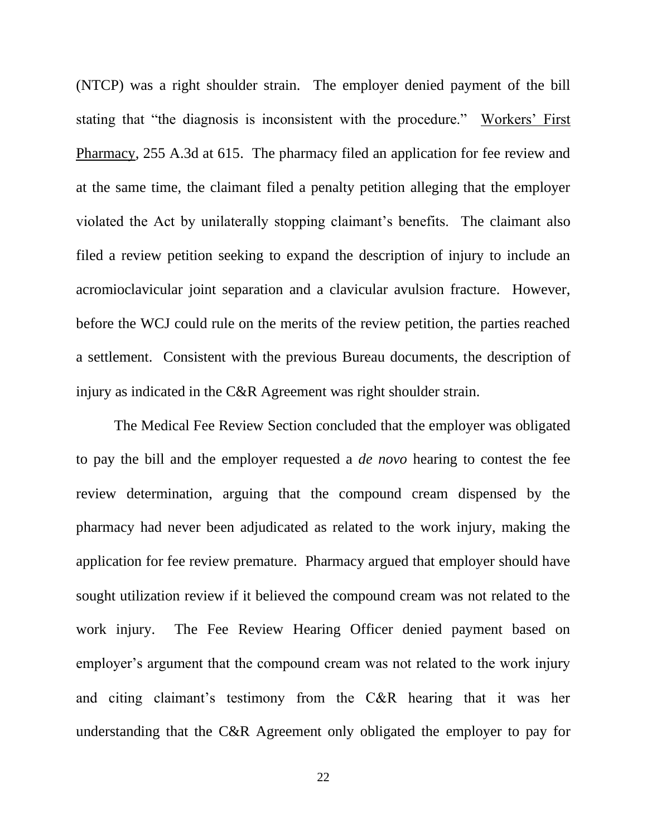(NTCP) was a right shoulder strain. The employer denied payment of the bill stating that "the diagnosis is inconsistent with the procedure." Workers' First Pharmacy, 255 A.3d at 615. The pharmacy filed an application for fee review and at the same time, the claimant filed a penalty petition alleging that the employer violated the Act by unilaterally stopping claimant's benefits. The claimant also filed a review petition seeking to expand the description of injury to include an acromioclavicular joint separation and a clavicular avulsion fracture. However, before the WCJ could rule on the merits of the review petition, the parties reached a settlement. Consistent with the previous Bureau documents, the description of injury as indicated in the C&R Agreement was right shoulder strain.

The Medical Fee Review Section concluded that the employer was obligated to pay the bill and the employer requested a *de novo* hearing to contest the fee review determination, arguing that the compound cream dispensed by the pharmacy had never been adjudicated as related to the work injury, making the application for fee review premature. Pharmacy argued that employer should have sought utilization review if it believed the compound cream was not related to the work injury. The Fee Review Hearing Officer denied payment based on employer's argument that the compound cream was not related to the work injury and citing claimant's testimony from the C&R hearing that it was her understanding that the C&R Agreement only obligated the employer to pay for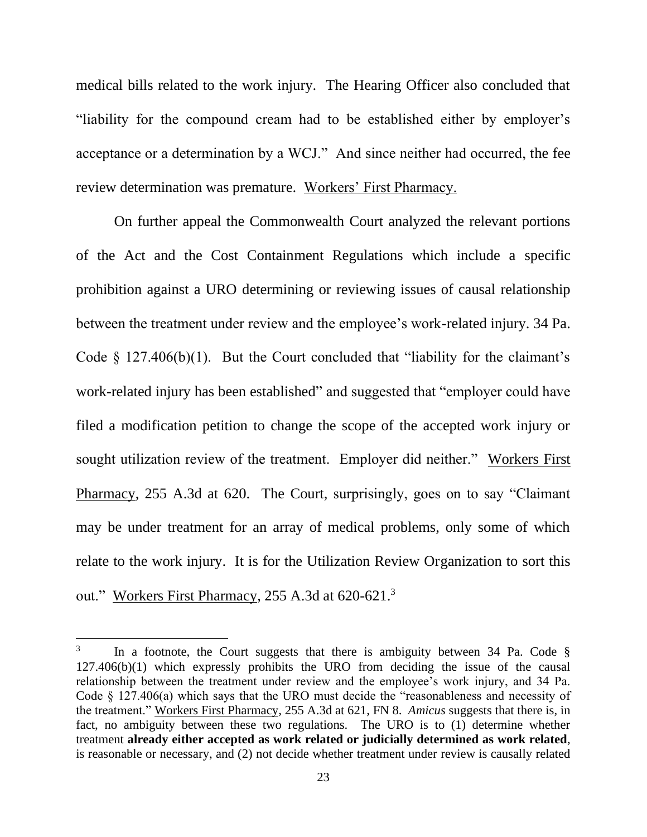medical bills related to the work injury. The Hearing Officer also concluded that "liability for the compound cream had to be established either by employer's acceptance or a determination by a WCJ." And since neither had occurred, the fee review determination was premature. Workers' First Pharmacy.

On further appeal the Commonwealth Court analyzed the relevant portions of the Act and the Cost Containment Regulations which include a specific prohibition against a URO determining or reviewing issues of causal relationship between the treatment under review and the employee's work-related injury. 34 Pa. Code  $\S$  127.406(b)(1). But the Court concluded that "liability for the claimant's work-related injury has been established" and suggested that "employer could have filed a modification petition to change the scope of the accepted work injury or sought utilization review of the treatment. Employer did neither." Workers First Pharmacy, 255 A.3d at 620. The Court, surprisingly, goes on to say "Claimant may be under treatment for an array of medical problems, only some of which relate to the work injury. It is for the Utilization Review Organization to sort this out." Workers First Pharmacy, 255 A.3d at 620-621.<sup>3</sup>

<sup>3</sup> In a footnote, the Court suggests that there is ambiguity between 34 Pa. Code § 127.406(b)(1) which expressly prohibits the URO from deciding the issue of the causal relationship between the treatment under review and the employee's work injury, and 34 Pa. Code § 127.406(a) which says that the URO must decide the "reasonableness and necessity of the treatment." Workers First Pharmacy, 255 A.3d at 621, FN 8. *Amicus* suggests that there is, in fact, no ambiguity between these two regulations. The URO is to (1) determine whether treatment **already either accepted as work related or judicially determined as work related**, is reasonable or necessary, and (2) not decide whether treatment under review is causally related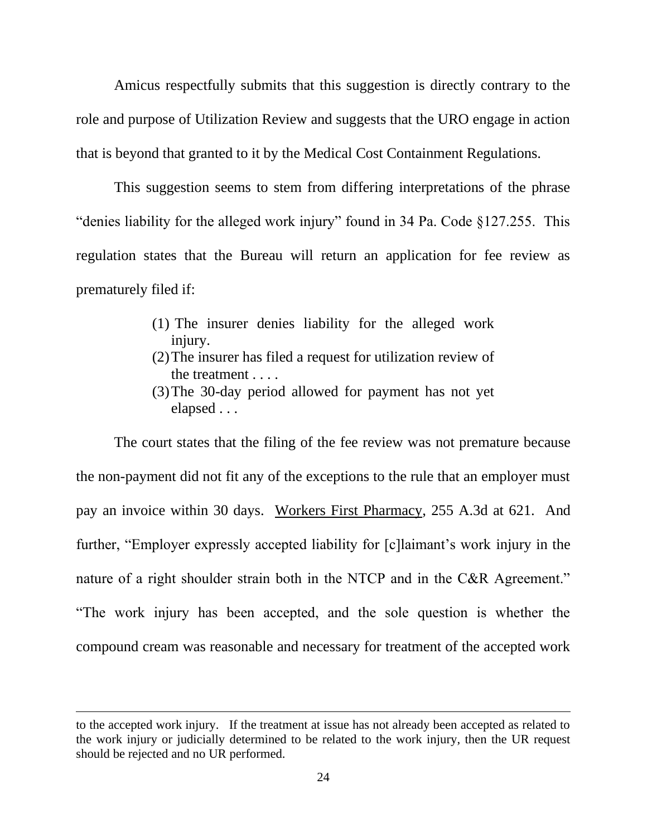Amicus respectfully submits that this suggestion is directly contrary to the role and purpose of Utilization Review and suggests that the URO engage in action that is beyond that granted to it by the Medical Cost Containment Regulations.

This suggestion seems to stem from differing interpretations of the phrase "denies liability for the alleged work injury" found in 34 Pa. Code §127.255. This regulation states that the Bureau will return an application for fee review as prematurely filed if:

- (1) The insurer denies liability for the alleged work injury.
- (2)The insurer has filed a request for utilization review of the treatment . . . .
- (3)The 30-day period allowed for payment has not yet elapsed . . .

The court states that the filing of the fee review was not premature because the non-payment did not fit any of the exceptions to the rule that an employer must pay an invoice within 30 days. Workers First Pharmacy, 255 A.3d at 621. And further, "Employer expressly accepted liability for [c]laimant's work injury in the nature of a right shoulder strain both in the NTCP and in the C&R Agreement." "The work injury has been accepted, and the sole question is whether the compound cream was reasonable and necessary for treatment of the accepted work

to the accepted work injury. If the treatment at issue has not already been accepted as related to the work injury or judicially determined to be related to the work injury, then the UR request should be rejected and no UR performed.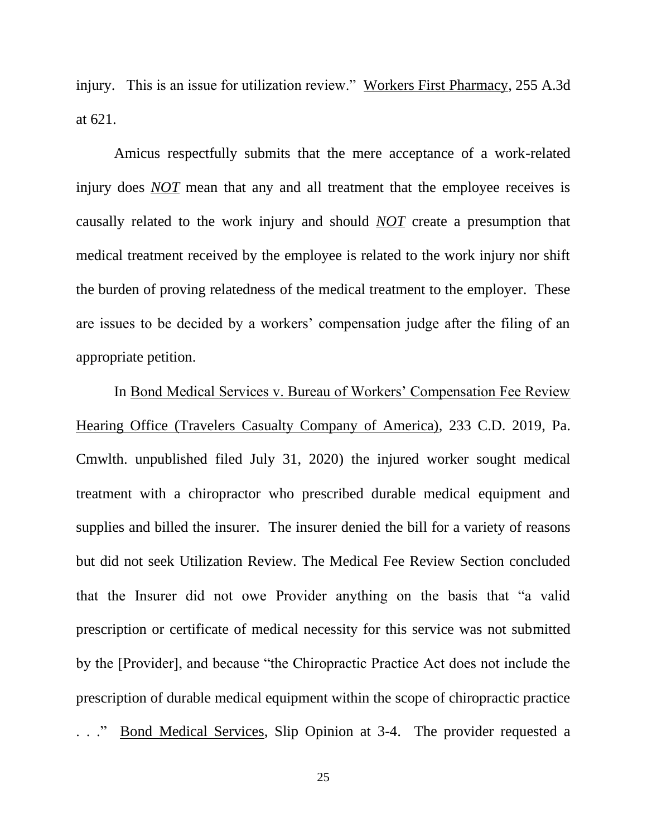injury. This is an issue for utilization review." Workers First Pharmacy, 255 A.3d at 621.

Amicus respectfully submits that the mere acceptance of a work-related injury does *NOT* mean that any and all treatment that the employee receives is causally related to the work injury and should *NOT* create a presumption that medical treatment received by the employee is related to the work injury nor shift the burden of proving relatedness of the medical treatment to the employer. These are issues to be decided by a workers' compensation judge after the filing of an appropriate petition.

In Bond Medical Services v. Bureau of Workers' Compensation Fee Review Hearing Office (Travelers Casualty Company of America), 233 C.D. 2019, Pa. Cmwlth. unpublished filed July 31, 2020) the injured worker sought medical treatment with a chiropractor who prescribed durable medical equipment and supplies and billed the insurer. The insurer denied the bill for a variety of reasons but did not seek Utilization Review. The Medical Fee Review Section concluded that the Insurer did not owe Provider anything on the basis that "a valid prescription or certificate of medical necessity for this service was not submitted by the [Provider], and because "the Chiropractic Practice Act does not include the prescription of durable medical equipment within the scope of chiropractic practice

. . ." Bond Medical Services, Slip Opinion at 3-4. The provider requested a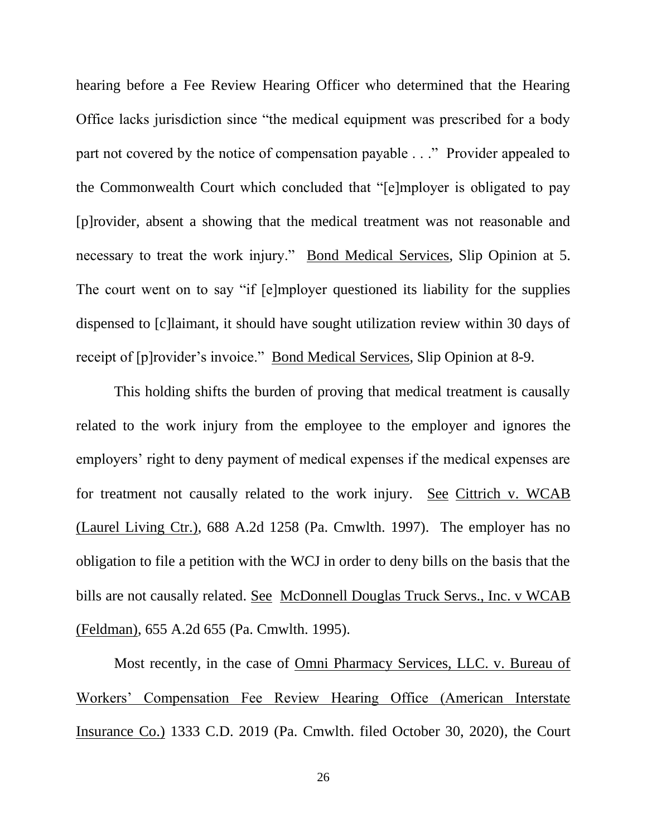hearing before a Fee Review Hearing Officer who determined that the Hearing Office lacks jurisdiction since "the medical equipment was prescribed for a body part not covered by the notice of compensation payable . . ." Provider appealed to the Commonwealth Court which concluded that "[e]mployer is obligated to pay [p]rovider, absent a showing that the medical treatment was not reasonable and necessary to treat the work injury." Bond Medical Services, Slip Opinion at 5. The court went on to say "if [e]mployer questioned its liability for the supplies dispensed to [c]laimant, it should have sought utilization review within 30 days of receipt of [p]rovider's invoice." Bond Medical Services, Slip Opinion at 8-9.

This holding shifts the burden of proving that medical treatment is causally related to the work injury from the employee to the employer and ignores the employers' right to deny payment of medical expenses if the medical expenses are for treatment not causally related to the work injury. See Cittrich v. WCAB (Laurel Living Ctr.), 688 A.2d 1258 (Pa. Cmwlth. 1997). The employer has no obligation to file a petition with the WCJ in order to deny bills on the basis that the bills are not causally related. See McDonnell Douglas Truck Servs., Inc. v WCAB (Feldman), 655 A.2d 655 (Pa. Cmwlth. 1995).

Most recently, in the case of Omni Pharmacy Services, LLC. v. Bureau of Workers' Compensation Fee Review Hearing Office (American Interstate Insurance Co.) 1333 C.D. 2019 (Pa. Cmwlth. filed October 30, 2020), the Court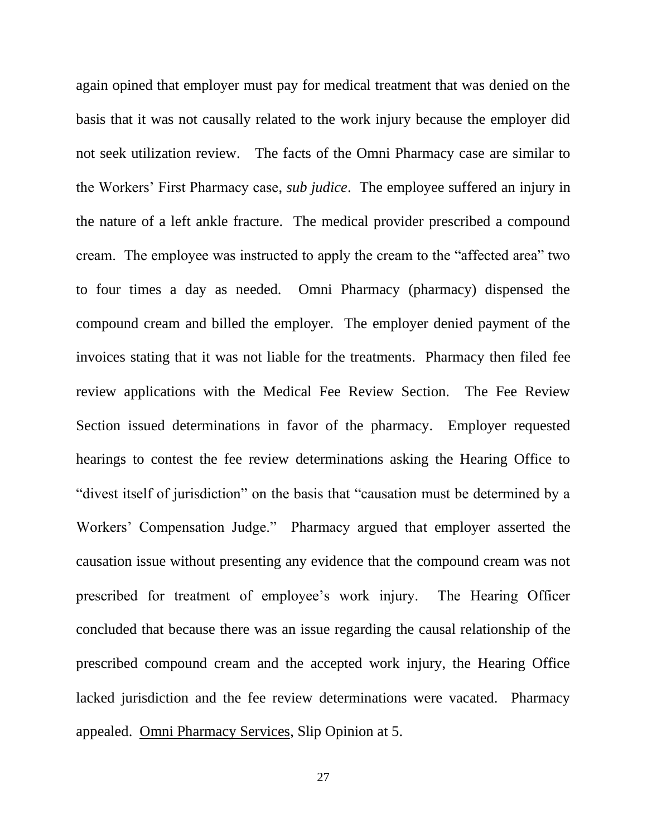again opined that employer must pay for medical treatment that was denied on the basis that it was not causally related to the work injury because the employer did not seek utilization review. The facts of the Omni Pharmacy case are similar to the Workers' First Pharmacy case, *sub judice*. The employee suffered an injury in the nature of a left ankle fracture. The medical provider prescribed a compound cream. The employee was instructed to apply the cream to the "affected area" two to four times a day as needed. Omni Pharmacy (pharmacy) dispensed the compound cream and billed the employer. The employer denied payment of the invoices stating that it was not liable for the treatments. Pharmacy then filed fee review applications with the Medical Fee Review Section. The Fee Review Section issued determinations in favor of the pharmacy. Employer requested hearings to contest the fee review determinations asking the Hearing Office to "divest itself of jurisdiction" on the basis that "causation must be determined by a Workers' Compensation Judge." Pharmacy argued that employer asserted the causation issue without presenting any evidence that the compound cream was not prescribed for treatment of employee's work injury. The Hearing Officer concluded that because there was an issue regarding the causal relationship of the prescribed compound cream and the accepted work injury, the Hearing Office lacked jurisdiction and the fee review determinations were vacated. Pharmacy appealed. Omni Pharmacy Services, Slip Opinion at 5.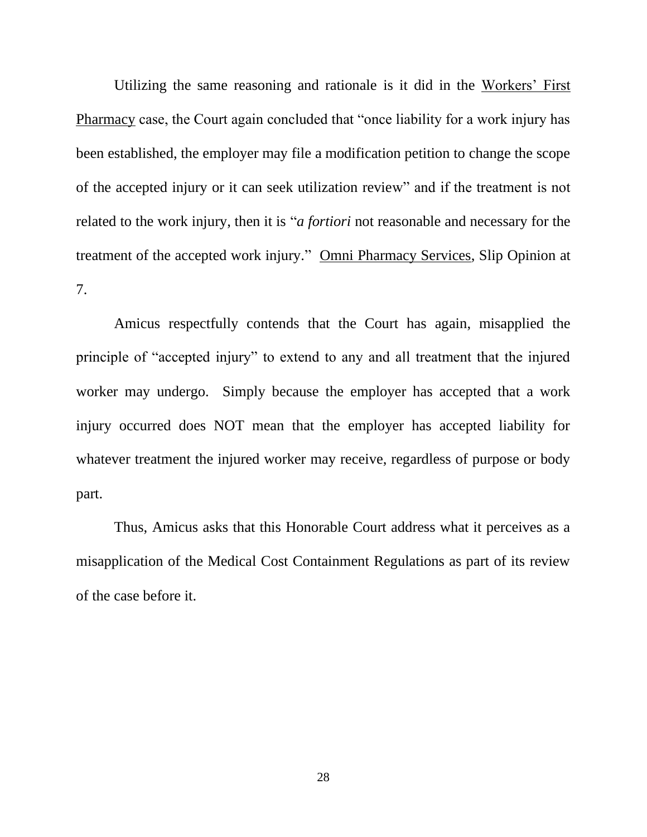Utilizing the same reasoning and rationale is it did in the Workers' First Pharmacy case, the Court again concluded that "once liability for a work injury has been established, the employer may file a modification petition to change the scope of the accepted injury or it can seek utilization review" and if the treatment is not related to the work injury, then it is "*a fortiori* not reasonable and necessary for the treatment of the accepted work injury." Omni Pharmacy Services, Slip Opinion at 7.

Amicus respectfully contends that the Court has again, misapplied the principle of "accepted injury" to extend to any and all treatment that the injured worker may undergo. Simply because the employer has accepted that a work injury occurred does NOT mean that the employer has accepted liability for whatever treatment the injured worker may receive, regardless of purpose or body part.

Thus, Amicus asks that this Honorable Court address what it perceives as a misapplication of the Medical Cost Containment Regulations as part of its review of the case before it.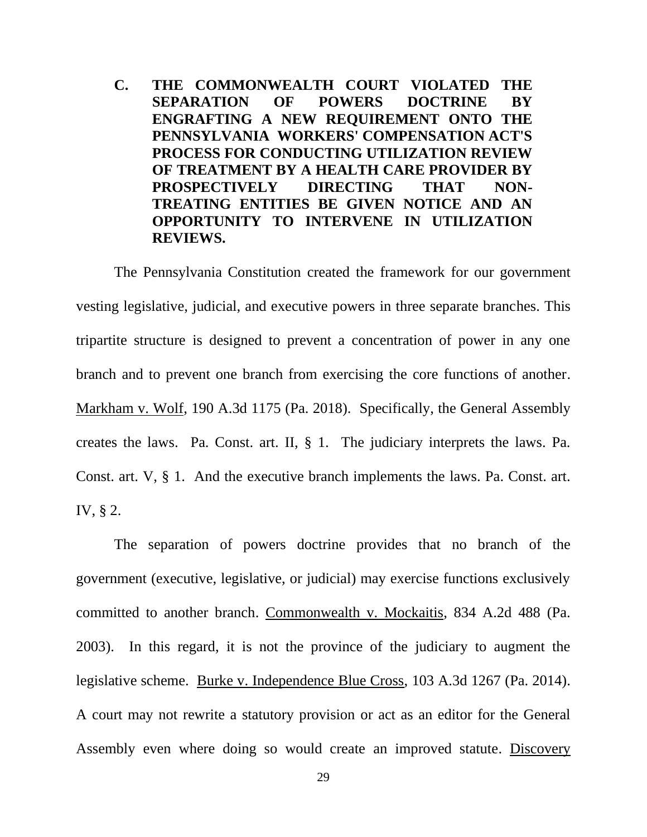**C. THE COMMONWEALTH COURT VIOLATED THE SEPARATION OF POWERS DOCTRINE BY ENGRAFTING A NEW REQUIREMENT ONTO THE PENNSYLVANIA WORKERS' COMPENSATION ACT'S PROCESS FOR CONDUCTING UTILIZATION REVIEW OF TREATMENT BY A HEALTH CARE PROVIDER BY PROSPECTIVELY DIRECTING THAT NON-TREATING ENTITIES BE GIVEN NOTICE AND AN OPPORTUNITY TO INTERVENE IN UTILIZATION REVIEWS.**

The Pennsylvania Constitution created the framework for our government vesting legislative, judicial, and executive powers in three separate branches. This tripartite structure is designed to prevent a concentration of power in any one branch and to prevent one branch from exercising the core functions of another. Markham v. Wolf, 190 A.3d 1175 (Pa. 2018). Specifically, the General Assembly creates the laws. Pa. Const. art. II, § 1. The judiciary interprets the laws. Pa. Const. art. V, § 1. And the executive branch implements the laws. Pa. Const. art. IV, § 2.

The separation of powers doctrine provides that no branch of the government (executive, legislative, or judicial) may exercise functions exclusively committed to another branch. Commonwealth v. Mockaitis, 834 A.2d 488 (Pa. 2003). In this regard, it is not the province of the judiciary to augment the legislative scheme. Burke v. Independence Blue Cross, 103 A.3d 1267 (Pa. 2014). A court may not rewrite a statutory provision or act as an editor for the General Assembly even where doing so would create an improved statute. Discovery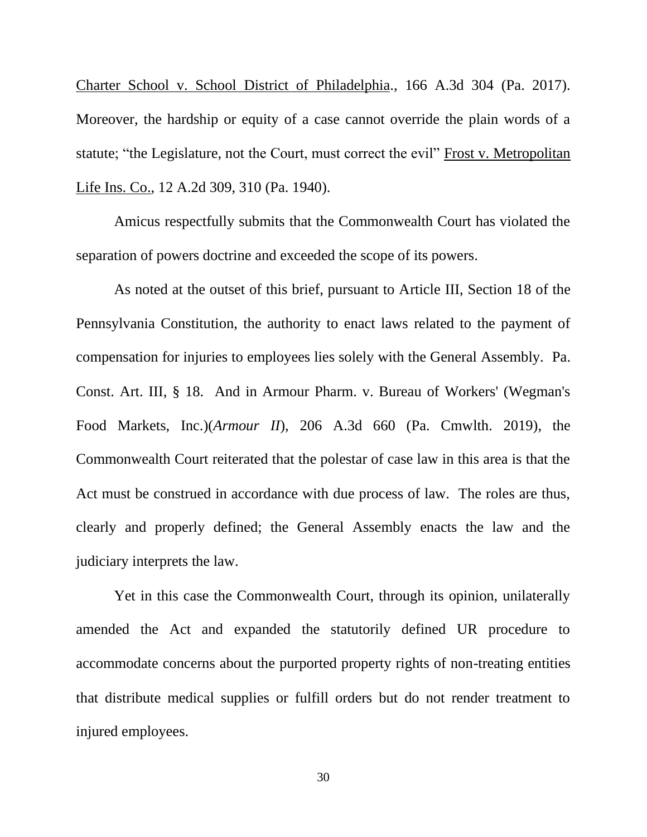Charter School v. School District of Philadelphia., 166 A.3d 304 (Pa. 2017). Moreover, the hardship or equity of a case cannot override the plain words of a statute; "the Legislature, not the Court, must correct the evil" Frost v. Metropolitan Life Ins. Co., 12 A.2d 309, 310 (Pa. 1940).

Amicus respectfully submits that the Commonwealth Court has violated the separation of powers doctrine and exceeded the scope of its powers.

As noted at the outset of this brief, pursuant to Article III, Section 18 of the Pennsylvania Constitution, the authority to enact laws related to the payment of compensation for injuries to employees lies solely with the General Assembly. Pa. Const. Art. III, § 18. And in Armour Pharm. v. Bureau of Workers' (Wegman's Food Markets, Inc.)(*Armour II*), 206 A.3d 660 (Pa. Cmwlth. 2019), the Commonwealth Court reiterated that the polestar of case law in this area is that the Act must be construed in accordance with due process of law. The roles are thus, clearly and properly defined; the General Assembly enacts the law and the judiciary interprets the law.

Yet in this case the Commonwealth Court, through its opinion, unilaterally amended the Act and expanded the statutorily defined UR procedure to accommodate concerns about the purported property rights of non-treating entities that distribute medical supplies or fulfill orders but do not render treatment to injured employees.

30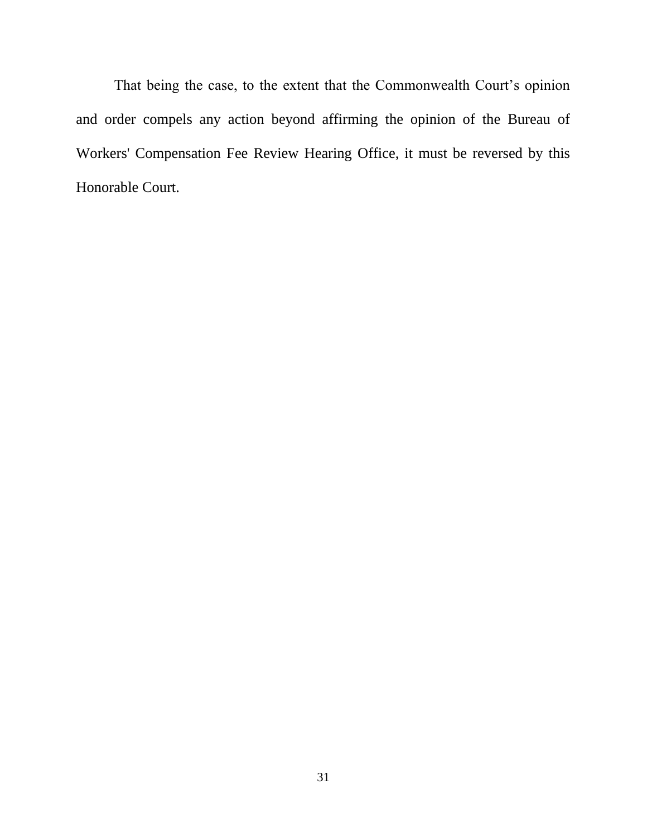That being the case, to the extent that the Commonwealth Court's opinion and order compels any action beyond affirming the opinion of the Bureau of Workers' Compensation Fee Review Hearing Office, it must be reversed by this Honorable Court.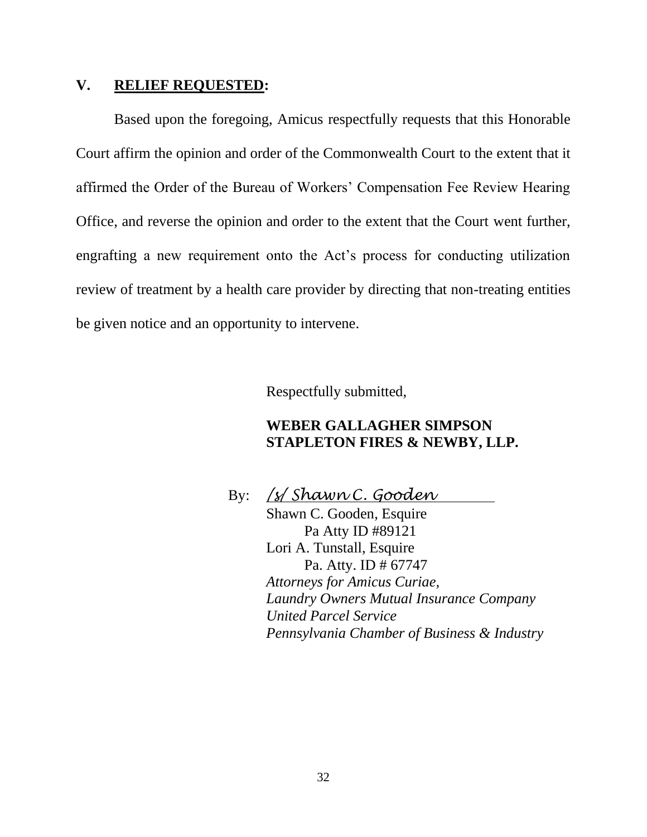### **V. RELIEF REQUESTED:**

Based upon the foregoing, Amicus respectfully requests that this Honorable Court affirm the opinion and order of the Commonwealth Court to the extent that it affirmed the Order of the Bureau of Workers' Compensation Fee Review Hearing Office, and reverse the opinion and order to the extent that the Court went further, engrafting a new requirement onto the Act's process for conducting utilization review of treatment by a health care provider by directing that non-treating entities be given notice and an opportunity to intervene.

Respectfully submitted,

# **WEBER GALLAGHER SIMPSON STAPLETON FIRES & NEWBY, LLP.**

By: */s/ Shawn C. Gooden* Shawn C. Gooden, Esquire Pa Atty ID #89121 Lori A. Tunstall, Esquire Pa. Atty. ID # 67747 *Attorneys for Amicus Curiae, Laundry Owners Mutual Insurance Company United Parcel Service Pennsylvania Chamber of Business & Industry*